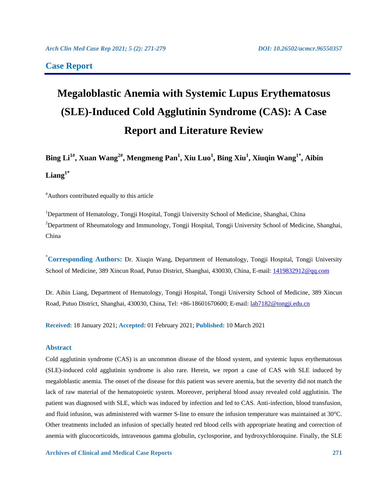### **Case Report**

# **Megaloblastic Anemia with Systemic Lupus Erythematosus (SLE)-Induced Cold Agglutinin Syndrome (CAS): A Case Report and Literature Review**

## **Bing Li1# , Xuan Wang2#, Mengmeng Pan<sup>1</sup> , Xiu Luo<sup>1</sup> , Bing Xiu<sup>1</sup> , Xiuqin Wang1\*, Aibin Liang1\***

#Authors contributed equally to this article

<sup>1</sup>Department of Hematology, Tongji Hospital, Tongji University School of Medicine, Shanghai, China <sup>2</sup>Department of Rheumatology and Immunology, Tongji Hospital, Tongji University School of Medicine, Shanghai, China

**\*Corresponding Authors:** Dr. Xiuqin Wang, Department of Hematology, Tongji Hospital, Tongji University School of Medicine, 389 Xincun Road, Putuo District, Shanghai, 430030, China, E-mail: [1419832912@qq.com](mailto:1419832912@qq.com)

Dr. Aibin Liang, Department of Hematology, Tongji Hospital, Tongji University School of Medicine, 389 Xincun Road, Putuo District, Shanghai, 430030, China, Tel: +86-18601670600; E-mail: [lab7182@tongji.edu.cn](mailto:lab7182@tongji.edu.cn)

**Received:** 18 January 2021; **Accepted:** 01 February 2021; **Published:** 10 March 2021

### **Abstract**

Cold agglutinin syndrome (CAS) is an uncommon disease of the blood system, and systemic lupus erythematosus (SLE)-induced cold agglutinin syndrome is also rare. Herein, we report a case of CAS with SLE induced by megaloblastic anemia. The onset of the disease for this patient was severe anemia, but the severity did not match the lack of raw material of the hematopoietic system. Moreover, peripheral blood assay revealed cold agglutinin. The patient was diagnosed with SLE, which was induced by infection and led to CAS. Anti-infection, blood transfusion, and fluid infusion, was administered with warmer S-line to ensure the infusion temperature was maintained at 30°C. Other treatments included an infusion of specially heated red blood cells with appropriate heating and correction of anemia with glucocorticoids, intravenous gamma globulin, cyclosporine, and hydroxychloroquine. Finally, the SLE

**Archives of Clinical and Medical Case Reports 271**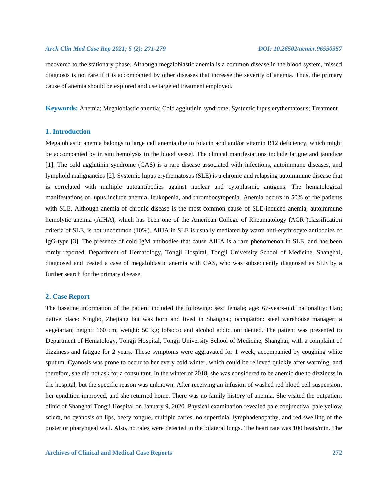recovered to the stationary phase. Although megaloblastic anemia is a common disease in the blood system, missed diagnosis is not rare if it is accompanied by other diseases that increase the severity of anemia. Thus, the primary cause of anemia should be explored and use targeted treatment employed.

**Keywords:** Anemia; Megaloblastic anemia; Cold agglutinin syndrome; Systemic lupus erythematosus; Treatment

### **1. Introduction**

Megaloblastic anemia belongs to large cell anemia due to folacin acid and/or vitamin B12 deficiency, which might be accompanied by in situ hemolysis in the blood vessel. The clinical manifestations include fatigue and jaundice [1]. The cold agglutinin syndrome (CAS) is a rare disease associated with infections, autoimmune diseases, and lymphoid malignancies [2]. Systemic lupus erythematosus (SLE) is a chronic and relapsing autoimmune disease that is correlated with multiple autoantibodies against nuclear and cytoplasmic antigens. The hematological manifestations of lupus include anemia, leukopenia, and thrombocytopenia. Anemia occurs in 50% of the patients with SLE. Although anemia of chronic disease is the most common cause of SLE-induced anemia, autoimmune hemolytic anemia (AIHA), which has been one of the American College of Rheumatology (ACR )classification criteria of SLE, is not uncommon (10%). AIHA in SLE is usually mediated by warm anti-erythrocyte antibodies of IgG-type [3]. The presence of cold IgM antibodies that cause AIHA is a rare phenomenon in SLE, and has been rarely reported. Department of Hematology, Tongji Hospital, Tongji University School of Medicine, Shanghai, diagnosed and treated a case of megaloblastic anemia with CAS, who was subsequently diagnosed as SLE by a further search for the primary disease.

### **2. Case Report**

The baseline information of the patient included the following: sex: female; age: 67-years-old; nationality: Han; native place: Ningbo, Zhejiang but was born and lived in Shanghai; occupation: steel warehouse manager; a vegetarian; height: 160 cm; weight: 50 kg; tobacco and alcohol addiction: denied. The patient was presented to Department of Hematology, Tongji Hospital, Tongji University School of Medicine, Shanghai, with a complaint of dizziness and fatigue for 2 years. These symptoms were aggravated for 1 week, accompanied by coughing white sputum. Cyanosis was prone to occur to her every cold winter, which could be relieved quickly after warming, and therefore, she did not ask for a consultant. In the winter of 2018, she was considered to be anemic due to dizziness in the hospital, but the specific reason was unknown. After receiving an infusion of washed red blood cell suspension, her condition improved, and she returned home. There was no family history of anemia. She visited the outpatient clinic of Shanghai Tongji Hospital on January 9, 2020. Physical examination revealed pale conjunctiva, pale yellow sclera, no cyanosis on lips, beefy tongue, multiple caries, no superficial lymphadenopathy, and red swelling of the posterior pharyngeal wall. Also, no rales were detected in the bilateral lungs. The heart rate was 100 beats/min. The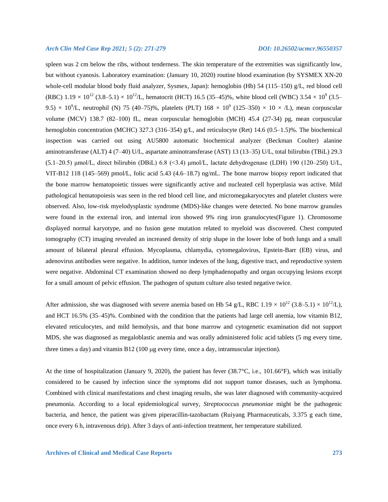spleen was 2 cm below the ribs, without tenderness. The skin temperature of the extremities was significantly low, but without cyanosis. Laboratory examination: (January 10, 2020) routine blood examination (by SYSMEX XN-20 whole-cell modular blood body fluid analyzer, Sysmex, Japan): hemoglobin (Hb) 54 (115–150) g/L, red blood cell (RBC)  $1.19 \times 10^{12}$  (3.8–5.1)  $\times 10^{12}$ /L, hematocrit (HCT) 16.5 (35–45)%, white blood cell (WBC) 3.54  $\times 10^{9}$  (3.5– 9.5)  $\times$  10<sup>9</sup>/L, neutrophil (N) 75 (40–75)%, platelets (PLT) 168  $\times$  10<sup>9</sup> (125–350)  $\times$  10  $\times$  /L), mean corpuscular volume (MCV) 138.7 (82–100) fL, mean corpuscular hemoglobin (MCH) 45.4 (27-34) pg, mean corpuscular hemoglobin concentration (MCHC) 327.3 (316–354) g/L, and reticulocyte (Ret) 14.6 (0.5–1.5)%. The biochemical inspection was carried out using AU5800 automatic biochemical analyzer (Beckman Coulter) alanine aminotransferase (ALT) 4 (7–40) U/L, aspartate aminotransferase (AST) 13 (13–35) U/L, total bilirubin (TBiL) 29.3 (5.1–20.5) μmol/L, direct bilirubin (DBiL) 6.8 (<3.4) μmol/L, lactate dehydrogenase (LDH) 190 (120–250) U/L, VIT-B12 118 (145–569) pmol/L, folic acid 5.43 (4.6–18.7) ng/mL. The bone marrow biopsy report indicated that the bone marrow hematopoietic tissues were significantly active and nucleated cell hyperplasia was active. Mild pathological hematopoiesis was seen in the red blood cell line, and micromegakaryocytes and platelet clusters were observed. Also, low-risk myelodysplastic syndrome (MDS)-like changes were detected. No bone marrow granules were found in the external iron, and internal iron showed 9% ring iron granulocytes(Figure 1). Chromosome displayed normal karyotype, and no fusion gene mutation related to myeloid was discovered. Chest computed tomography (CT) imaging revealed an increased density of strip shape in the lower lobe of both lungs and a small amount of bilateral pleural effusion. Mycoplasma, chlamydia, cytomegalovirus, Epstein-Barr (EB) virus, and adenovirus antibodies were negative. In addition, tumor indexes of the lung, digestive tract, and reproductive system were negative. Abdominal CT examination showed no deep lymphadenopathy and organ occupying lesions except for a small amount of pelvic effusion. The pathogen of sputum culture also tested negative twice.

After admission, she was diagnosed with severe anemia based on Hb 54 g/L, RBC 1.19  $\times$  10<sup>12</sup> (3.8–5.1)  $\times$  10<sup>12</sup>/L), and HCT 16.5% (35–45)%. Combined with the condition that the patients had large cell anemia, low vitamin B12, elevated reticulocytes, and mild hemolysis, and that bone marrow and cytogenetic examination did not support MDS, she was diagnosed as megaloblastic anemia and was orally administered folic acid tablets (5 mg every time, three times a day) and vitamin B12 (100  $\mu$ g every time, once a day, intramuscular injection).

At the time of hospitalization (January 9, 2020), the patient has fever (38.7°C, i.e., 101.66°F), which was initially considered to be caused by infection since the symptoms did not support tumor diseases, such as lymphoma. Combined with clinical manifestations and chest imaging results, she was later diagnosed with community-acquired pneumonia. According to a local epidemiological survey, *Streptococcus pneumoniae* might be the pathogenic bacteria, and hence, the patient was given piperacillin-tazobactam (Ruiyang Pharmaceuticals, 3.375 g each time, once every 6 h, intravenous drip). After 3 days of anti-infection treatment, her temperature stabilized.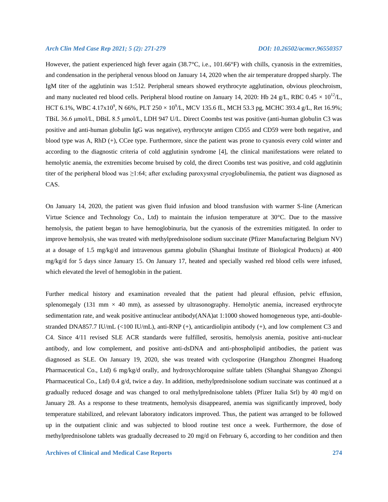However, the patient experienced high fever again (38.7°C, i.e., 101.66°F) with chills, cyanosis in the extremities, and condensation in the peripheral venous blood on January 14, 2020 when the air temperature dropped sharply. The IgM titer of the agglutinin was 1:512. Peripheral smears showed erythrocyte agglutination, obvious pleochroism, and many nucleated red blood cells. Peripheral blood routine on January 14, 2020: Hb 24 g/L, RBC 0.45  $\times$  10<sup>12</sup>/L, HCT 6.1%, WBC 4.17x10<sup>9</sup>, N 66%, PLT 250  $\times$  10<sup>9</sup>/L, MCV 135.6 fL, MCH 53.3 pg, MCHC 393.4 g/L, Ret 16.9%; TBiL 36.6 μmol/L, DBiL 8.5 μmol/L, LDH 947 U/L. Direct Coombs test was positive (anti-human globulin C3 was positive and anti-human globulin IgG was negative), erythrocyte antigen CD55 and CD59 were both negative, and blood type was A, RhD (+), CCee type. Furthermore, since the patient was prone to cyanosis every cold winter and according to the diagnostic criteria of cold agglutinin syndrome [4], the clinical manifestations were related to hemolytic anemia, the extremities become bruised by cold, the direct Coombs test was positive, and cold agglutinin titer of the peripheral blood was ≥1:64; after excluding paroxysmal cryoglobulinemia, the patient was diagnosed as CAS.

On January 14, 2020, the patient was given fluid infusion and blood transfusion with warmer S-line (American Virtue Science and Technology Co., Ltd) to maintain the infusion temperature at 30°C. Due to the massive hemolysis, the patient began to have hemoglobinuria, but the cyanosis of the extremities mitigated. In order to improve hemolysis, she was treated with methylprednisolone sodium succinate (Pfizer Manufacturing Belgium NV) at a dosage of 1.5 mg/kg/d and intravenous gamma globulin (Shanghai Institute of Biological Products) at 400 mg/kg/d for 5 days since January 15. On January 17, heated and specially washed red blood cells were infused, which elevated the level of hemoglobin in the patient.

Further medical history and examination revealed that the patient had pleural effusion, pelvic effusion, splenomegaly (131 mm  $\times$  40 mm), as assessed by ultrasonography. Hemolytic anemia, increased erythrocyte sedimentation rate, and weak positive antinuclear antibody(ANA)at 1:1000 showed homogeneous type, anti-doublestranded DNA857.7 IU/mL (<100 IU/mL), anti-RNP (+), anticardiolipin antibody (+), and low complement C3 and C4. Since 4/11 revised SLE ACR standards were fulfilled, serositis, hemolysis anemia, positive anti-nuclear antibody, and low complement, and positive anti-dsDNA and anti-phospholipid antibodies, the patient was diagnosed as SLE. On January 19, 2020, she was treated with cyclosporine (Hangzhou Zhongmei Huadong Pharmaceutical Co., Ltd) 6 mg/kg/d orally, and hydroxychloroquine sulfate tablets (Shanghai Shangyao Zhongxi Pharmaceutical Co., Ltd) 0.4 g/d, twice a day. In addition, methylprednisolone sodium succinate was continued at a gradually reduced dosage and was changed to oral methylprednisolone tablets (Pfizer Italia Srl) by 40 mg/d on January 28. As a response to these treatments, hemolysis disappeared, anemia was significantly improved, body temperature stabilized, and relevant laboratory indicators improved. Thus, the patient was arranged to be followed up in the outpatient clinic and was subjected to blood routine test once a week. Furthermore, the dose of methylprednisolone tablets was gradually decreased to 20 mg/d on February 6, according to her condition and then

**Archives of Clinical and Medical Case Reports 274**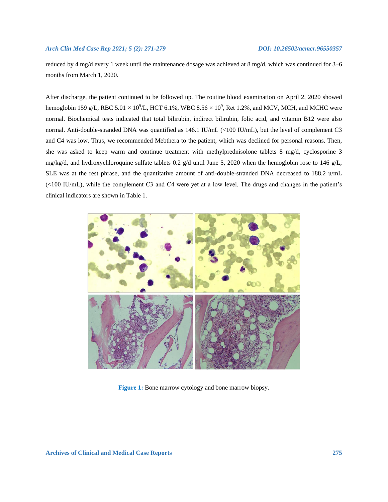reduced by 4 mg/d every 1 week until the maintenance dosage was achieved at 8 mg/d, which was continued for 3–6 months from March 1, 2020.

After discharge, the patient continued to be followed up. The routine blood examination on April 2, 2020 showed hemoglobin 159 g/L, RBC 5.01  $\times$  10<sup>9</sup>/L, HCT 6.1%, WBC 8.56  $\times$  10<sup>9</sup>, Ret 1.2%, and MCV, MCH, and MCHC were normal. Biochemical tests indicated that total bilirubin, indirect bilirubin, folic acid, and vitamin B12 were also normal. Anti-double-stranded DNA was quantified as 146.1 IU/mL (<100 IU/mL), but the level of complement C3 and C4 was low. Thus, we recommended Mebthera to the patient, which was declined for personal reasons. Then, she was asked to keep warm and continue treatment with methylprednisolone tablets 8 mg/d, cyclosporine 3 mg/kg/d, and hydroxychloroquine sulfate tablets 0.2 g/d until June 5, 2020 when the hemoglobin rose to 146 g/L, SLE was at the rest phrase, and the quantitative amount of anti-double-stranded DNA decreased to 188.2 u/mL (<100 IU/mL), while the complement C3 and C4 were yet at a low level. The drugs and changes in the patient's clinical indicators are shown in Table 1.



**Figure 1:** Bone marrow cytology and bone marrow biopsy.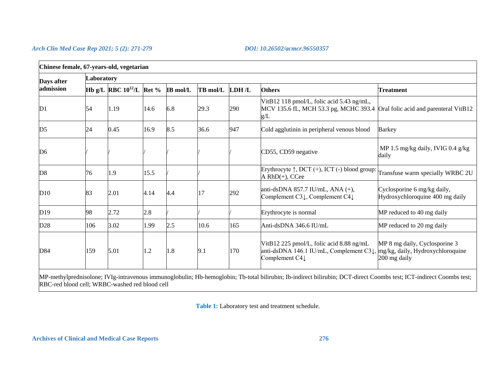| Chinese female, 67-years-old, vegetarian                                                                                                                           |            |                               |      |                 |          |       |                                                                                                                                                             |                                                                |
|--------------------------------------------------------------------------------------------------------------------------------------------------------------------|------------|-------------------------------|------|-----------------|----------|-------|-------------------------------------------------------------------------------------------------------------------------------------------------------------|----------------------------------------------------------------|
| Days after<br>admission                                                                                                                                            | Laboratory |                               |      |                 |          |       |                                                                                                                                                             |                                                                |
|                                                                                                                                                                    |            | Hb g/L RBC $10^{12}$ /L Ret % |      | <b>IB</b> mol/L | TB mol/L | LDH/L | <b>Others</b>                                                                                                                                               | <b>Treatment</b>                                               |
| D <sub>1</sub>                                                                                                                                                     | 54         | 1.19                          | 14.6 | 6.8             | 29.3     | 290   | VitB12 118 pmol/L, folic acid 5.43 ng/mL,<br>MCV 135.6 fL, MCH 53.3 pg, MCHC 393.4 Oral folic acid and parenteral VitB12<br>g/L                             |                                                                |
| D <sub>5</sub>                                                                                                                                                     | 24         | 0.45                          | 16.9 | 8.5             | 36.6     | 947   | Cold agglutinin in peripheral venous blood                                                                                                                  | <b>Barkey</b>                                                  |
| D <sub>6</sub>                                                                                                                                                     |            |                               |      |                 |          |       | CD55, CD59 negative                                                                                                                                         | MP 1.5 mg/kg daily, IVIG 0.4 g/kg<br>daily                     |
| D8                                                                                                                                                                 | 76         | 1.9                           | 15.5 |                 |          |       | Erythrocyte $\uparrow$ , DCT (+), ICT (-) blood group:<br>A RhD(+), CCee                                                                                    | Transfuse warm specially WRBC 2U                               |
| D10                                                                                                                                                                | 83         | 2.01                          | 4.14 | 4.4             | 17       | 292   | anti-dsDNA 857.7 IU/mL, ANA (+),<br>Complement C3↓, Complement C4↓                                                                                          | Cyclosporine 6 mg/kg daily,<br>Hydroxychloroquine 400 mg daily |
| D19                                                                                                                                                                | 98         | 2.72                          | 2.8  |                 |          |       | Erythrocyte is normal                                                                                                                                       | MP reduced to 40 mg daily                                      |
| D28                                                                                                                                                                | 106        | 3.02                          | 1.99 | 2.5             | 10.6     | 165   | Anti-dsDNA 346.6 IU/mL                                                                                                                                      | MP reduced to 20 mg daily                                      |
| D84                                                                                                                                                                | 159        | 5.01                          | 1.2  | 1.8             | 9.1      | 170   | VitB12 225 pmol/L, folic acid 8.88 ng/mL<br>anti-dsDNA 146.1 IU/mL, Complement $C3\downarrow$ , $\text{mg/kg}$ , daily, Hydroxychloroquine<br>Complement C4 | MP 8 mg daily, Cyclosporine 3<br>200 mg daily                  |
| MP-methylprednisolone: WIg-intravenous immunoglobulin: Hb-hemoglobin: Th-total bilirubin: Ib-indirect bilirubin: DCT-direct Coombs test: ICT-indirect Coombs test: |            |                               |      |                 |          |       |                                                                                                                                                             |                                                                |

MP-methylprednisolone; IVIg-intravenous immunoglobulin; Hb-hemoglobin; Tb-total bilirubin; Ib-indirect bilirubin; DCT-direct Coombs test; ICT-indirect Coombs test; RBC-red blood cell; WRBC-washed red blood cell

**Table 1:** Laboratory test and treatment schedule.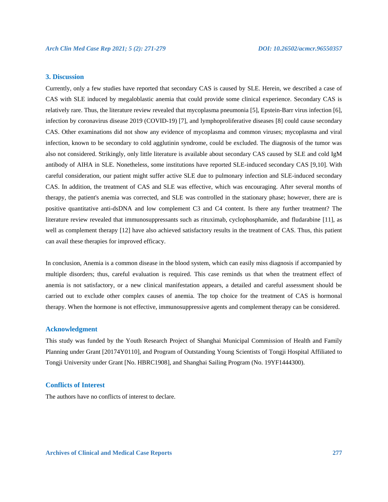### **3. Discussion**

Currently, only a few studies have reported that secondary CAS is caused by SLE. Herein, we described a case of CAS with SLE induced by megaloblastic anemia that could provide some clinical experience. Secondary CAS is relatively rare. Thus, the literature review revealed that mycoplasma pneumonia [5], Epstein-Barr virus infection [6], infection by coronavirus disease 2019 (COVID-19) [7], and lymphoproliferative diseases [8] could cause secondary CAS. Other examinations did not show any evidence of mycoplasma and common viruses; mycoplasma and viral infection, known to be secondary to cold agglutinin syndrome, could be excluded. The diagnosis of the tumor was also not considered. Strikingly, only little literature is available about secondary CAS caused by SLE and cold IgM antibody of AIHA in SLE. Nonetheless, some institutions have reported SLE-induced secondary CAS [9,10]. With careful consideration, our patient might suffer active SLE due to pulmonary infection and SLE-induced secondary CAS. In addition, the treatment of CAS and SLE was effective, which was encouraging. After several months of therapy, the patient's anemia was corrected, and SLE was controlled in the stationary phase; however, there are is positive quantitative anti-dsDNA and low complement C3 and C4 content. Is there any further treatment? The literature review revealed that immunosuppressants such as rituximab, cyclophosphamide, and fludarabine [11], as well as complement therapy [12] have also achieved satisfactory results in the treatment of CAS. Thus, this patient can avail these therapies for improved efficacy.

In conclusion, Anemia is a common disease in the blood system, which can easily miss diagnosis if accompanied by multiple disorders; thus, careful evaluation is required. This case reminds us that when the treatment effect of anemia is not satisfactory, or a new clinical manifestation appears, a detailed and careful assessment should be carried out to exclude other complex causes of anemia. The top choice for the treatment of CAS is hormonal therapy. When the hormone is not effective, immunosuppressive agents and complement therapy can be considered.

### **Acknowledgment**

This study was funded by the Youth Research Project of Shanghai Municipal Commission of Health and Family Planning under Grant [20174Y0110], and Program of Outstanding Young Scientists of Tongji Hospital Affiliated to Tongji University under Grant [No. HBRC1908], and Shanghai Sailing Program (No. 19YF1444300).

### **Conflicts of Interest**

The authors have no conflicts of interest to declare.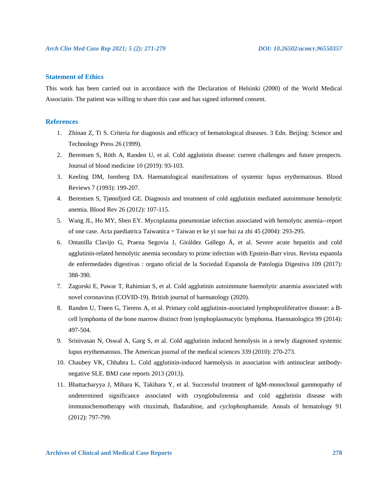### **Statement of Ethics**

This work has been carried out in accordance with the Declaration of Helsinki (2000) of the World Medical Associatio. The patient was willing to share this case and has signed informed consent.

### **References**

- 1. Zhinan Z, Ti S. Criteria for diagnosis and efficacy of hematological diseases. 3 Edn. Beijing: Science and Technology Press 26 (1999).
- 2. Berentsen S, Röth A, Randen U, et al. Cold agglutinin disease: current challenges and future prospects. Journal of blood medicine 10 (2019): 93-103.
- 3. Keeling DM, Isenberg DA. Haematological manifestations of systemic lupus erythematosus. Blood Reviews 7 (1993): 199-207.
- 4. Berentsen S, Tjønnfjord GE. Diagnosis and treatment of cold agglutinin mediated autoimmune hemolytic anemia. Blood Rev 26 (2012): 107-115.
- 5. Wang JL, Ho MY, Shen EY. Mycoplasma pneumoniae infection associated with hemolytic anemia--report of one case. Acta paediatrica Taiwanica = Taiwan er ke yi xue hui za zhi 45 (2004): 293-295.
- 6. Ontanilla Clavijo G, Praena Segovia J, Giráldez Gallego Á, et al. Severe acute hepatitis and cold agglutinin-related hemolytic anemia secondary to prime infection with Epstein-Barr virus. Revista espanola de enfermedades digestivas : organo oficial de la Sociedad Espanola de Patologia Digestiva 109 (2017): 388-390.
- 7. Zagorski E, Pawar T, Rahimian S, et al. Cold agglutinin autoimmune haemolytic anaemia associated with novel coronavirus (COVID-19). British journal of haematology (2020).
- 8. Randen U, Trøen G, Tierens A, et al. Primary cold agglutinin-associated lymphoproliferative disease: a Bcell lymphoma of the bone marrow distinct from lymphoplasmacytic lymphoma. Haematologica 99 (2014): 497-504.
- 9. Srinivasan N, Oswal A, Garg S, et al. Cold agglutinin induced hemolysis in a newly diagnosed systemic lupus erythematosus. The American journal of the medical sciences 339 (2010): 270-273.
- 10. Chaubey VK, Chhabra L. Cold agglutinin-induced haemolysis in association with antinuclear antibodynegative SLE. BMJ case reports 2013 (2013).
- 11. Bhattacharyya J, Mihara K, Takihara Y, et al. Successful treatment of IgM-monoclonal gammopathy of undetermined significance associated with cryoglobulinemia and cold agglutinin disease with immunochemotherapy with rituximab, fludarabine, and cyclophosphamide. Annals of hematology 91 (2012): 797-799.